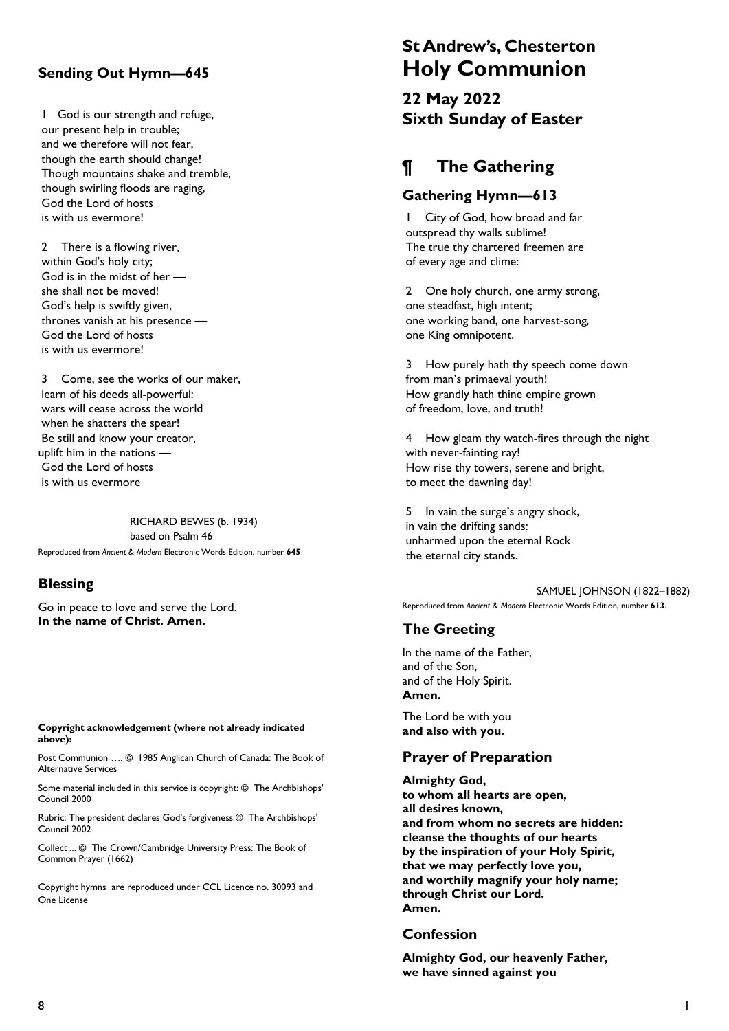# Sending Out Hymn—645

1 God is our strength and refuge, our present help in trouble; and we therefore will not fear, though the earth should change! Though mountains shake and tremble, though swirling floods are raging, God the Lord of hosts is with us evermore!

2 There is a flowing river, within God's holy city; God is in the midst of her she shall not be moved! God's help is swiftly given, thrones vanish at his presence — God the Lord of hosts is with us evermore!

3 Come, see the works of our maker, learn of his deeds all-powerful: wars will cease across the world when he shatters the spear! Be still and know your creator, uplift him in the nations — God the Lord of hosts is with us evermore

RICHARD BEWES (b. 1934) based on Psalm 46 Reproduced from Ancient & Modern Electronic Words Edition, number 645

#### **Blessing**

Go in peace to love and serve the Lord. In the name of Christ. Amen.

Copyright acknowledgement (where not already indicated above):

Post Communion …. © 1985 Anglican Church of Canada: The Book of Alternative Services

Some material included in this service is copyright: © The Archbishops' Council 2000

Rubric: The president declares God's forgiveness © The Archbishops' Council 2002

Collect ... © The Crown/Cambridge University Press: The Book of Common Prayer (1662)

Copyright hymns are reproduced under CCL Licence no. 30093 and One License

# St Andrew's, Chesterton Holy Communion

22 May 2022 Sixth Sunday of Easter

# ¶ The Gathering

#### Gathering Hymn—613

1 City of God, how broad and far outspread thy walls sublime! The true thy chartered freemen are of every age and clime:

2 One holy church, one army strong, one steadfast, high intent; one working band, one harvest-song, one King omnipotent.

3 How purely hath thy speech come down from man's primaeval youth! How grandly hath thine empire grown of freedom, love, and truth!

4 How gleam thy watch-fires through the night with never-fainting ray! How rise thy towers, serene and bright, to meet the dawning day!

5 In vain the surge's angry shock, in vain the drifting sands: unharmed upon the eternal Rock the eternal city stands.

SAMUEL JOHNSON (1822–1882) Reproduced from Ancient & Modern Electronic Words Edition, number 613.

# The Greeting

In the name of the Father, and of the Son, and of the Holy Spirit. Amen.

The Lord be with you and also with you.

# Prayer of Preparation

Almighty God, to whom all hearts are open, all desires known, and from whom no secrets are hidden: cleanse the thoughts of our hearts by the inspiration of your Holy Spirit, that we may perfectly love you, and worthily magnify your holy name; through Christ our Lord. Amen.

#### Confession

Almighty God, our heavenly Father, we have sinned against you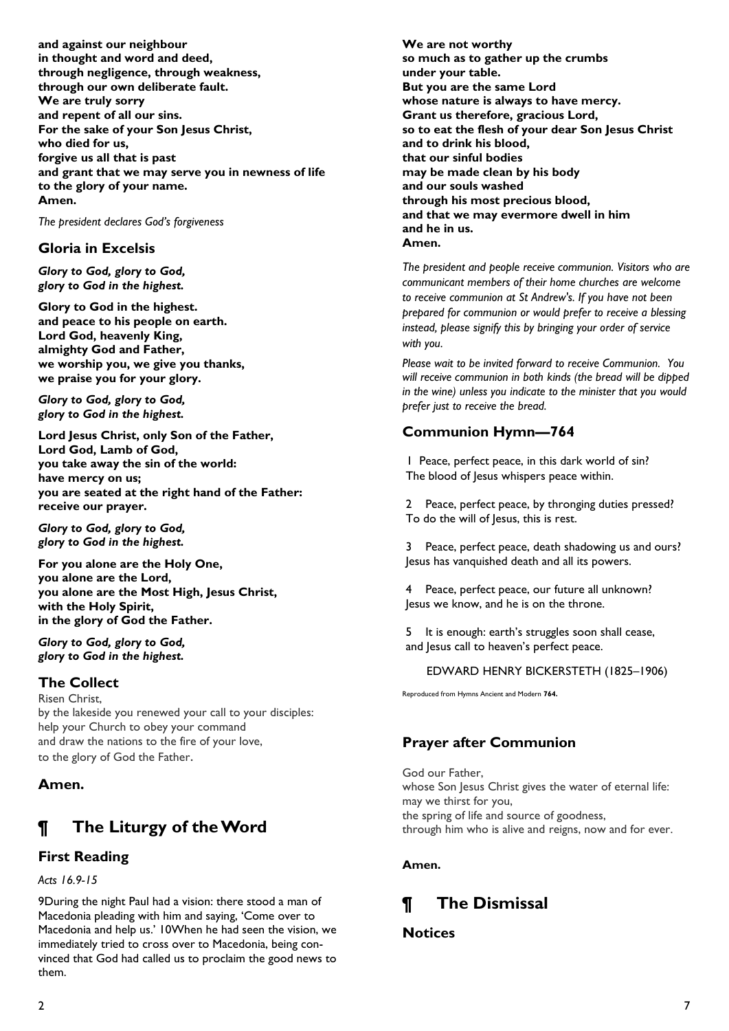and against our neighbour in thought and word and deed, through negligence, through weakness, through our own deliberate fault. We are truly sorry and repent of all our sins. For the sake of your Son Jesus Christ, who died for us, forgive us all that is past and grant that we may serve you in newness of life to the glory of your name. Amen.

The president declares God's forgiveness

# Gloria in Excelsis

Glory to God, glory to God, glory to God in the highest.

Glory to God in the highest. and peace to his people on earth. Lord God, heavenly King, almighty God and Father, we worship you, we give you thanks, we praise you for your glory.

Glory to God, glory to God, glory to God in the highest.

Lord Jesus Christ, only Son of the Father, Lord God, Lamb of God, you take away the sin of the world: have mercy on us; you are seated at the right hand of the Father: receive our prayer.

Glory to God, glory to God, glory to God in the highest.

For you alone are the Holy One, you alone are the Lord, you alone are the Most High, Jesus Christ, with the Holy Spirit, in the glory of God the Father.

Glory to God, glory to God, glory to God in the highest.

# The Collect

Risen Christ, by the lakeside you renewed your call to your disciples: help your Church to obey your command and draw the nations to the fire of your love, to the glory of God the Father.

#### Amen.

# ¶ The Liturgy of the Word

# First Reading

Acts 16.9-15

9During the night Paul had a vision: there stood a man of Macedonia pleading with him and saying, 'Come over to Macedonia and help us.' 10When he had seen the vision, we immediately tried to cross over to Macedonia, being convinced that God had called us to proclaim the good news to them.

We are not worthy so much as to gather up the crumbs under your table. But you are the same Lord whose nature is always to have mercy. Grant us therefore, gracious Lord, so to eat the flesh of your dear Son Jesus Christ and to drink his blood, that our sinful bodies may be made clean by his body and our souls washed through his most precious blood, and that we may evermore dwell in him and he in us. Amen.

The president and people receive communion. Visitors who are communicant members of their home churches are welcome to receive communion at St Andrew's. If you have not been prepared for communion or would prefer to receive a blessing instead, please signify this by bringing your order of service with you.

Please wait to be invited forward to receive Communion. You will receive communion in both kinds (the bread will be dipped in the wine) unless you indicate to the minister that you would prefer just to receive the bread.

# Communion Hymn—764

1 Peace, perfect peace, in this dark world of sin? The blood of Jesus whispers peace within.

2 Peace, perfect peace, by thronging duties pressed? To do the will of Jesus, this is rest.

3 Peace, perfect peace, death shadowing us and ours? Jesus has vanquished death and all its powers.

4 Peace, perfect peace, our future all unknown? Jesus we know, and he is on the throne.

5 It is enough: earth's struggles soon shall cease, and Jesus call to heaven's perfect peace.

EDWARD HENRY BICKERSTETH (1825–1906)

Reproduced from Hymns Ancient and Modern 764.

# Prayer after Communion

God our Father, whose Son Jesus Christ gives the water of eternal life: may we thirst for you, the spring of life and source of goodness, through him who is alive and reigns, now and for ever.

Amen.

# ¶ The Dismissal

#### **Notices**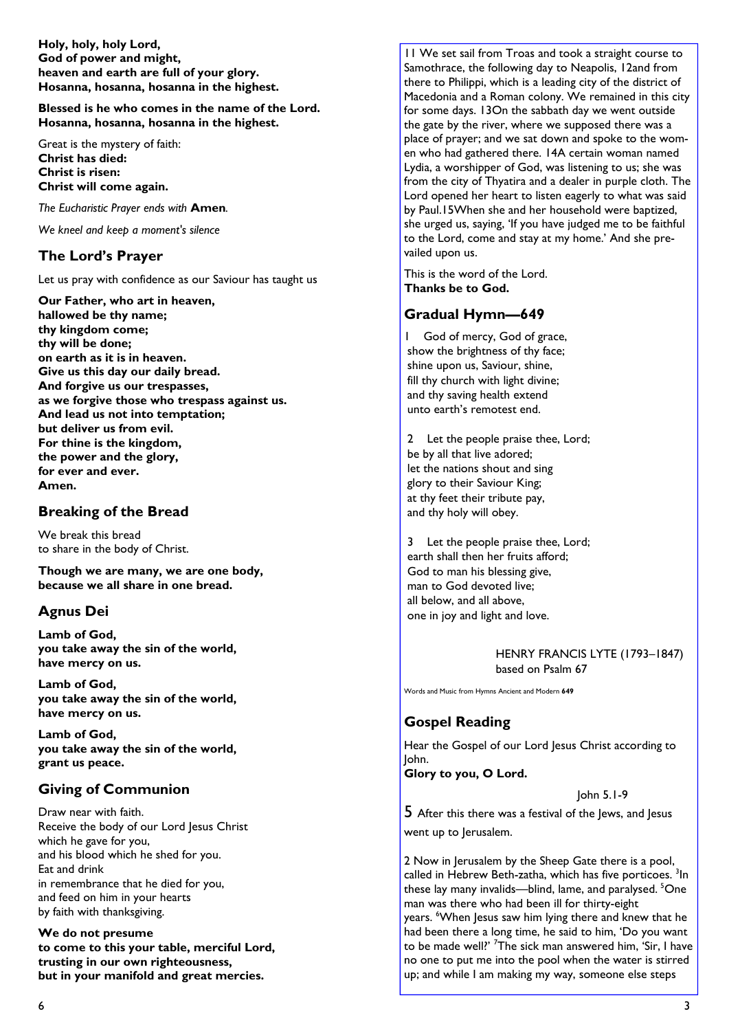Holy, holy, holy Lord, God of power and might, heaven and earth are full of your glory. Hosanna, hosanna, hosanna in the highest.

Blessed is he who comes in the name of the Lord. Hosanna, hosanna, hosanna in the highest.

Great is the mystery of faith: Christ has died: Christ is risen: Christ will come again.

The Eucharistic Prayer ends with Amen.

We kneel and keep a moment's silence

#### The Lord's Prayer

Let us pray with confidence as our Saviour has taught us

Our Father, who art in heaven, hallowed be thy name; thy kingdom come; thy will be done; on earth as it is in heaven. Give us this day our daily bread. And forgive us our trespasses, as we forgive those who trespass against us. And lead us not into temptation; but deliver us from evil. For thine is the kingdom, the power and the glory, for ever and ever. Amen.

#### Breaking of the Bread

We break this bread to share in the body of Christ.

Though we are many, we are one body, because we all share in one bread.

# Agnus Dei

Lamb of God, you take away the sin of the world, have mercy on us.

Lamb of God, you take away the sin of the world, have mercy on us.

Lamb of God, you take away the sin of the world, grant us peace.

#### Giving of Communion

Draw near with faith. Receive the body of our Lord Jesus Christ which he gave for you, and his blood which he shed for you. Eat and drink in remembrance that he died for you, and feed on him in your hearts by faith with thanksgiving.

We do not presume to come to this your table, merciful Lord, trusting in our own righteousness, but in your manifold and great mercies.

11 We set sail from Troas and took a straight course to Samothrace, the following day to Neapolis, 12and from there to Philippi, which is a leading city of the district of Macedonia and a Roman colony. We remained in this city for some days. 13On the sabbath day we went outside the gate by the river, where we supposed there was a place of prayer; and we sat down and spoke to the women who had gathered there. 14A certain woman named Lydia, a worshipper of God, was listening to us; she was from the city of Thyatira and a dealer in purple cloth. The Lord opened her heart to listen eagerly to what was said by Paul.15When she and her household were baptized, she urged us, saying, 'If you have judged me to be faithful to the Lord, come and stay at my home.' And she prevailed upon us.

This is the word of the Lord. Thanks be to God.

# Gradual Hymn—649

1 God of mercy, God of grace, show the brightness of thy face; shine upon us, Saviour, shine, fill thy church with light divine; and thy saving health extend unto earth's remotest end.

2 Let the people praise thee, Lord; be by all that live adored; let the nations shout and sing glory to their Saviour King; at thy feet their tribute pay, and thy holy will obey.

3 Let the people praise thee, Lord; earth shall then her fruits afford; God to man his blessing give, man to God devoted live; all below, and all above, one in joy and light and love.

> HENRY FRANCIS LYTE (1793–1847) based on Psalm 67

Words and Music from Hymns Ancient and Modern 649

# Gospel Reading

Hear the Gospel of our Lord Jesus Christ according to John.

Glory to you, O Lord.

John 5.1-9

5 After this there was a festival of the Jews, and Jesus went up to Jerusalem.

2 Now in Jerusalem by the Sheep Gate there is a pool, called in Hebrew Beth-zatha, which has five porticoes.<sup>3</sup>In these lay many invalids—blind, lame, and paralysed. <sup>5</sup>One man was there who had been ill for thirty-eight years. <sup>6</sup>When Jesus saw him lying there and knew that he had been there a long time, he said to him, 'Do you want to be made well?' <sup>7</sup>The sick man answered him, 'Sir, I have no one to put me into the pool when the water is stirred up; and while I am making my way, someone else steps